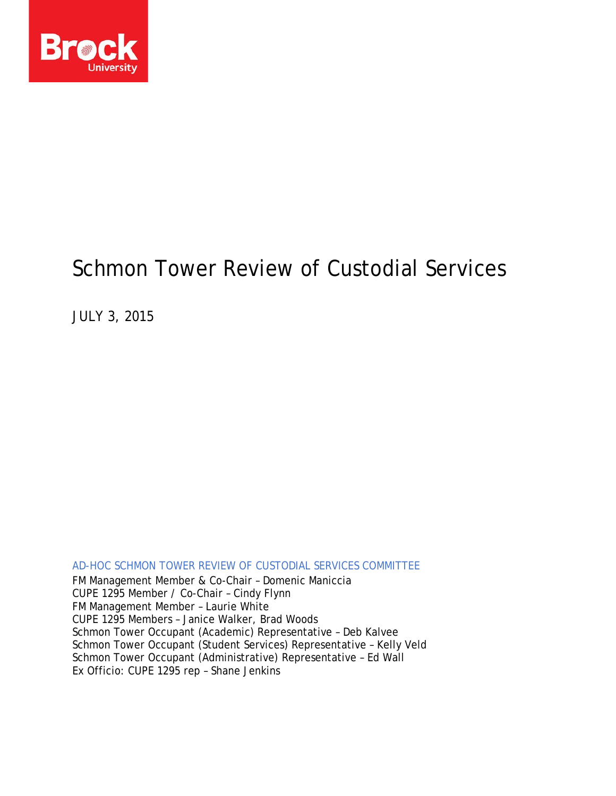

# Schmon Tower Review of Custodial Services

JULY 3, 2015

AD-HOC SCHMON TOWER REVIEW OF CUSTODIAL SERVICES COMMITTEE FM Management Member & Co-Chair – Domenic Maniccia CUPE 1295 Member / Co-Chair – Cindy Flynn FM Management Member – Laurie White CUPE 1295 Members – Janice Walker, Brad Woods Schmon Tower Occupant (Academic) Representative – Deb Kalvee Schmon Tower Occupant (Student Services) Representative – Kelly Veld Schmon Tower Occupant (Administrative) Representative – Ed Wall Ex Officio: CUPE 1295 rep – Shane Jenkins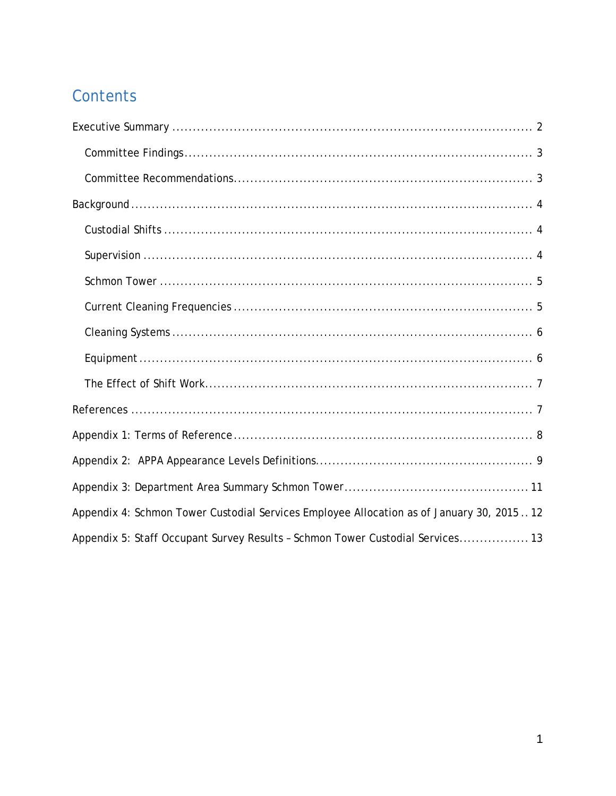## Contents

| Appendix 4: Schmon Tower Custodial Services Employee Allocation as of January 30, 201512 |
|------------------------------------------------------------------------------------------|
| Appendix 5: Staff Occupant Survey Results - Schmon Tower Custodial Services 13           |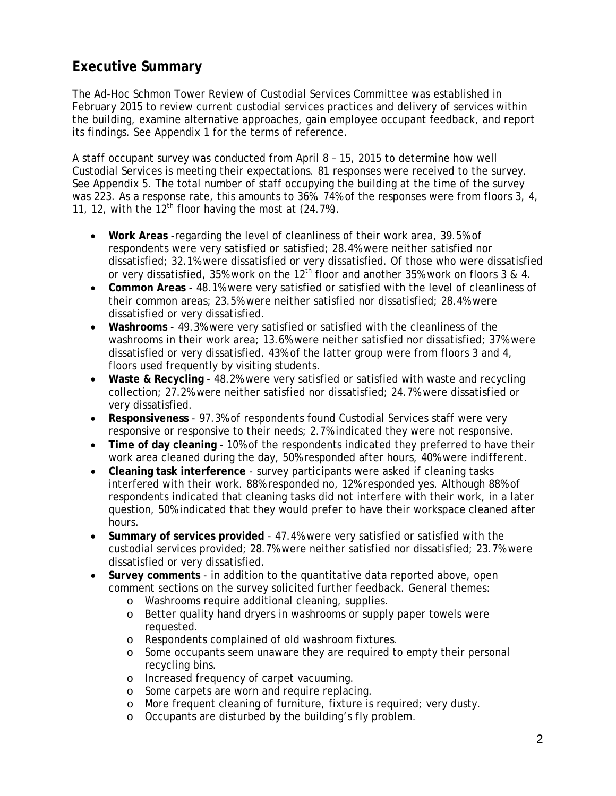## <span id="page-2-0"></span>**Executive Summary**

The Ad-Hoc Schmon Tower Review of Custodial Services Committee was established in February 2015 to review current custodial services practices and delivery of services within the building, examine alternative approaches, gain employee occupant feedback, and report its findings. See Appendix 1 for the terms of reference.

A staff occupant survey was conducted from April 8 – 15, 2015 to determine how well Custodial Services is meeting their expectations. 81 responses were received to the survey. See Appendix 5. The total number of staff occupying the building at the time of the survey was 223. As a response rate, this amounts to 36%. 74% of the responses were from floors 3, 4, 11, 12, with the  $12<sup>th</sup>$  floor having the most at (24.7%).

- **Work Areas** -regarding the level of cleanliness of their work area, 39.5% of respondents were very satisfied or satisfied; 28.4% were neither satisfied nor dissatisfied; 32.1% were dissatisfied or very dissatisfied. Of those who were dissatisfied or very dissatisfied, 35% work on the 12<sup>th</sup> floor and another 35% work on floors 3 & 4.
- **Common Areas** 48.1% were very satisfied or satisfied with the level of cleanliness of their common areas; 23.5% were neither satisfied nor dissatisfied; 28.4% were dissatisfied or very dissatisfied.
- **Washrooms** 49.3% were very satisfied or satisfied with the cleanliness of the washrooms in their work area; 13.6% were neither satisfied nor dissatisfied; 37% were dissatisfied or very dissatisfied. 43% of the latter group were from floors 3 and 4, floors used frequently by visiting students.
- **Waste & Recycling** 48.2% were very satisfied or satisfied with waste and recycling collection; 27.2% were neither satisfied nor dissatisfied; 24.7% were dissatisfied or very dissatisfied.
- **Responsiveness**  97.3% of respondents found Custodial Services staff were very responsive or responsive to their needs; 2.7% indicated they were not responsive.
- **Time of day cleaning** 10% of the respondents indicated they preferred to have their work area cleaned during the day, 50% responded after hours, 40% were indifferent.
- **Cleaning task interference** survey participants were asked if cleaning tasks interfered with their work. 88% responded no, 12% responded yes. Although 88% of respondents indicated that cleaning tasks did not interfere with their work, in a later question, 50% indicated that they would prefer to have their workspace cleaned after hours.
- **Summary of services provided**  47.4% were very satisfied or satisfied with the custodial services provided; 28.7% were neither satisfied nor dissatisfied; 23.7% were dissatisfied or very dissatisfied.
- **Survey comments**  in addition to the quantitative data reported above, open comment sections on the survey solicited further feedback. General themes:
	- o Washrooms require additional cleaning, supplies.
	- o Better quality hand dryers in washrooms or supply paper towels were requested.
	- o Respondents complained of old washroom fixtures.<br>o Some occupants seem unaware they are required to
	- Some occupants seem unaware they are required to empty their personal recycling bins.
	- o Increased frequency of carpet vacuuming.
	- o Some carpets are worn and require replacing.
	- o More frequent cleaning of furniture, fixture is required; very dusty.
	- o Occupants are disturbed by the building's fly problem.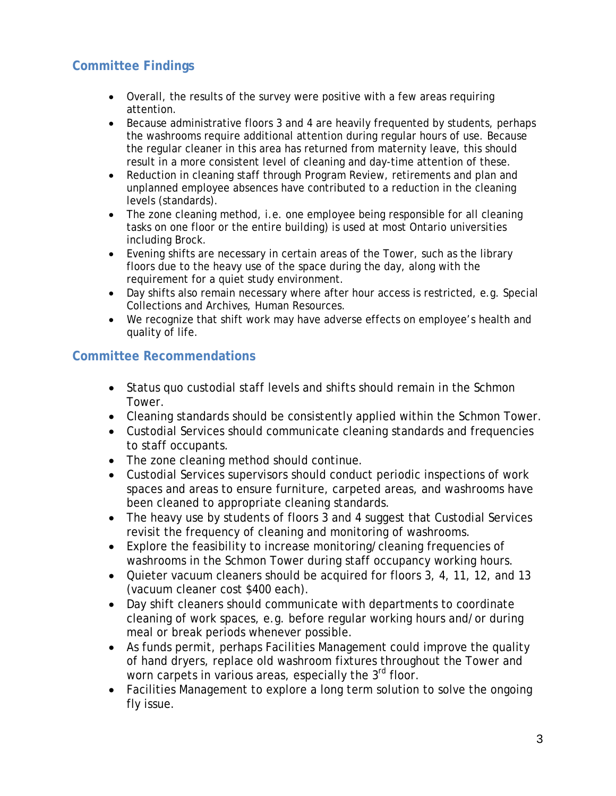### <span id="page-3-0"></span>**Committee Findings**

- Overall, the results of the survey were positive with a few areas requiring attention.
- Because administrative floors 3 and 4 are heavily frequented by students, perhaps the washrooms require additional attention during regular hours of use. Because the regular cleaner in this area has returned from maternity leave, this should result in a more consistent level of cleaning and day-time attention of these.
- Reduction in cleaning staff through Program Review, retirements and plan and unplanned employee absences have contributed to a reduction in the cleaning levels (standards).
- The zone cleaning method, i.e. one employee being responsible for all cleaning tasks on one floor or the entire building) is used at most Ontario universities including Brock.
- Evening shifts are necessary in certain areas of the Tower, such as the library floors due to the heavy use of the space during the day, along with the requirement for a quiet study environment.
- Day shifts also remain necessary where after hour access is restricted, e.g. Special Collections and Archives, Human Resources.
- We recognize that shift work may have adverse effects on employee's health and quality of life.

#### <span id="page-3-1"></span>**Committee Recommendations**

- Status quo custodial staff levels and shifts should remain in the Schmon Tower.
- Cleaning standards should be consistently applied within the Schmon Tower.
- Custodial Services should communicate cleaning standards and frequencies to staff occupants.
- The zone cleaning method should continue.
- Custodial Services supervisors should conduct periodic inspections of work spaces and areas to ensure furniture, carpeted areas, and washrooms have been cleaned to appropriate cleaning standards.
- The heavy use by students of floors 3 and 4 suggest that Custodial Services revisit the frequency of cleaning and monitoring of washrooms.
- Explore the feasibility to increase monitoring/cleaning frequencies of washrooms in the Schmon Tower during staff occupancy working hours.
- Quieter vacuum cleaners should be acquired for floors 3, 4, 11, 12, and 13 (vacuum cleaner cost \$400 each).
- Day shift cleaners should communicate with departments to coordinate cleaning of work spaces, e.g. before regular working hours and/or during meal or break periods whenever possible.
- As funds permit, perhaps Facilities Management could improve the quality of hand dryers, replace old washroom fixtures throughout the Tower and worn carpets in various areas, especially the 3<sup>rd</sup> floor.
- <span id="page-3-2"></span>• Facilities Management to explore a long term solution to solve the ongoing fly issue.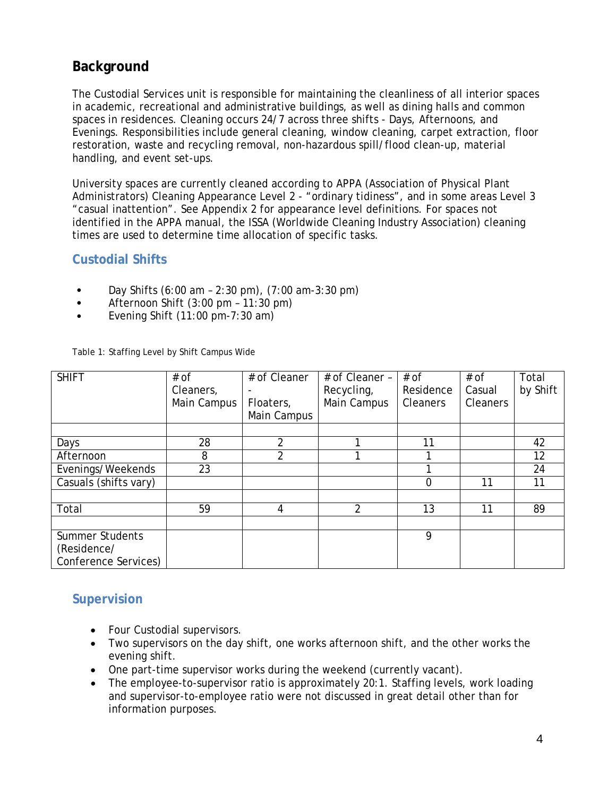### **Background**

The Custodial Services unit is responsible for maintaining the cleanliness of all interior spaces in academic, recreational and administrative buildings, as well as dining halls and common spaces in residences. Cleaning occurs 24/7 across three shifts - Days, Afternoons, and Evenings. Responsibilities include general cleaning, window cleaning, carpet extraction, floor restoration, waste and recycling removal, non-hazardous spill/flood clean-up, material handling, and event set-ups.

University spaces are currently cleaned according to APPA (Association of Physical Plant Administrators) Cleaning Appearance Level 2 - "ordinary tidiness", and in some areas Level 3 "casual inattention". See Appendix 2 for appearance level definitions. For spaces not identified in the APPA manual, the ISSA (Worldwide Cleaning Industry Association) cleaning times are used to determine time allocation of specific tasks.

#### <span id="page-4-0"></span>**Custodial Shifts**

- Day Shifts (6:00 am 2:30 pm), (7:00 am-3:30 pm)
- Afternoon Shift (3:00 pm 11:30 pm)
- Evening Shift  $(11:00 \text{ pm-}7:30 \text{ am})$

Table 1: Staffing Level by Shift Campus Wide

| <b>SHIFT</b>                                                  | $#$ of<br>Cleaners,<br>Main Campus | # of Cleaner<br>Floaters,<br>Main Campus | # of Cleaner -<br>Recycling,<br>Main Campus | $#$ of<br>Residence<br><b>Cleaners</b> | $#$ of<br>Casual<br><b>Cleaners</b> | Total<br>by Shift |
|---------------------------------------------------------------|------------------------------------|------------------------------------------|---------------------------------------------|----------------------------------------|-------------------------------------|-------------------|
|                                                               |                                    |                                          |                                             |                                        |                                     |                   |
| Days                                                          | 28                                 | 2                                        |                                             | 11                                     |                                     | 42                |
| Afternoon                                                     | 8                                  | 2                                        |                                             |                                        |                                     | 12                |
| Evenings/Weekends                                             | 23                                 |                                          |                                             |                                        |                                     | 24                |
| Casuals (shifts vary)                                         |                                    |                                          |                                             | 0                                      | 11                                  | 11                |
|                                                               |                                    |                                          |                                             |                                        |                                     |                   |
| Total                                                         | 59                                 | 4                                        | 2                                           | 13                                     | 11                                  | 89                |
|                                                               |                                    |                                          |                                             |                                        |                                     |                   |
| <b>Summer Students</b><br>(Residence/<br>Conference Services) |                                    |                                          |                                             | 9                                      |                                     |                   |

#### <span id="page-4-1"></span>**Supervision**

- Four Custodial supervisors.
- Two supervisors on the day shift, one works afternoon shift, and the other works the evening shift.
- One part-time supervisor works during the weekend (currently vacant).
- The employee-to-supervisor ratio is approximately 20:1. Staffing levels, work loading and supervisor-to-employee ratio were not discussed in great detail other than for information purposes.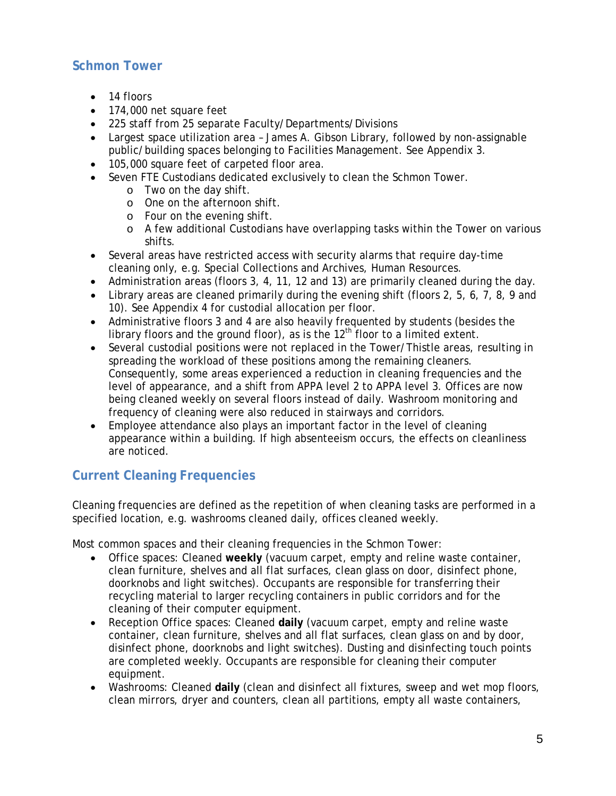#### <span id="page-5-0"></span>**Schmon Tower**

- 14 floors
- 174,000 net square feet
- 225 staff from 25 separate Faculty/Departments/Divisions
- Largest space utilization area James A. Gibson Library, followed by non-assignable public/building spaces belonging to Facilities Management. See Appendix 3.
- 105,000 square feet of carpeted floor area.
- Seven FTE Custodians dedicated exclusively to clean the Schmon Tower.
	- o Two on the day shift.
	- o One on the afternoon shift.
	- o Four on the evening shift.
	- o A few additional Custodians have overlapping tasks within the Tower on various shifts.
- Several areas have restricted access with security alarms that require day-time cleaning only, e.g. Special Collections and Archives, Human Resources.
- Administration areas (floors 3, 4, 11, 12 and 13) are primarily cleaned during the day.
- Library areas are cleaned primarily during the evening shift (floors 2, 5, 6, 7, 8, 9 and 10). See Appendix 4 for custodial allocation per floor.
- Administrative floors 3 and 4 are also heavily frequented by students (besides the library floors and the ground floor), as is the  $12<sup>th</sup>$  floor to a limited extent.
- Several custodial positions were not replaced in the Tower/Thistle areas, resulting in spreading the workload of these positions among the remaining cleaners. Consequently, some areas experienced a reduction in cleaning frequencies and the level of appearance, and a shift from APPA level 2 to APPA level 3. Offices are now being cleaned weekly on several floors instead of daily. Washroom monitoring and frequency of cleaning were also reduced in stairways and corridors.
- Employee attendance also plays an important factor in the level of cleaning appearance within a building. If high absenteeism occurs, the effects on cleanliness are noticed.

## <span id="page-5-1"></span>**Current Cleaning Frequencies**

Cleaning frequencies are defined as the repetition of when cleaning tasks are performed in a specified location, e.g. washrooms cleaned daily, offices cleaned weekly.

Most common spaces and their cleaning frequencies in the Schmon Tower:

- Office spaces: Cleaned **weekly** (vacuum carpet, empty and reline waste container, clean furniture, shelves and all flat surfaces, clean glass on door, disinfect phone, doorknobs and light switches). Occupants are responsible for transferring their recycling material to larger recycling containers in public corridors and for the cleaning of their computer equipment.
- Reception Office spaces: Cleaned **daily** (vacuum carpet, empty and reline waste container, clean furniture, shelves and all flat surfaces, clean glass on and by door, disinfect phone, doorknobs and light switches). Dusting and disinfecting touch points are completed weekly. Occupants are responsible for cleaning their computer equipment.
- Washrooms: Cleaned **daily** (clean and disinfect all fixtures, sweep and wet mop floors, clean mirrors, dryer and counters, clean all partitions, empty all waste containers,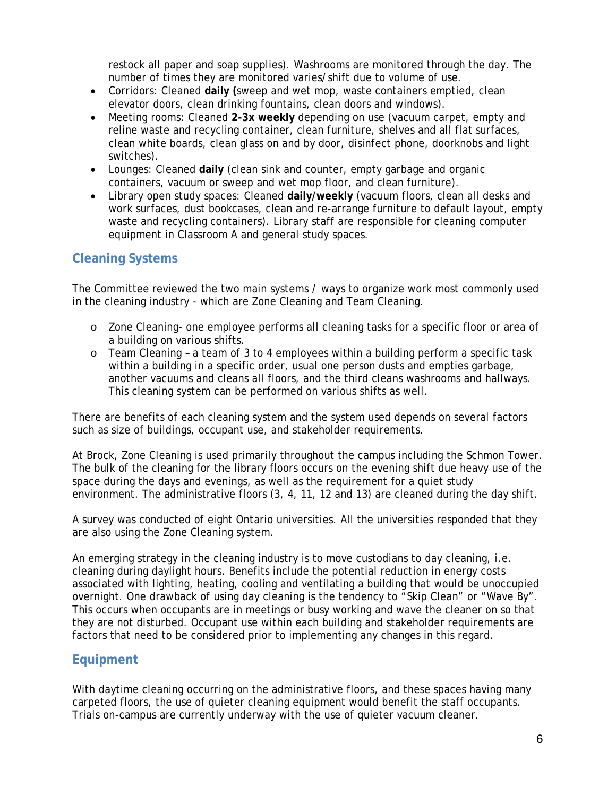restock all paper and soap supplies). Washrooms are monitored through the day. The number of times they are monitored varies/shift due to volume of use.

- Corridors: Cleaned **daily (**sweep and wet mop, waste containers emptied, clean elevator doors, clean drinking fountains, clean doors and windows).
- Meeting rooms: Cleaned **2-3x weekly** depending on use (vacuum carpet, empty and reline waste and recycling container, clean furniture, shelves and all flat surfaces, clean white boards, clean glass on and by door, disinfect phone, doorknobs and light switches).
- Lounges: Cleaned **daily** (clean sink and counter, empty garbage and organic containers, vacuum or sweep and wet mop floor, and clean furniture).
- Library open study spaces: Cleaned **daily/weekly** (vacuum floors, clean all desks and work surfaces, dust bookcases, clean and re-arrange furniture to default layout, empty waste and recycling containers). Library staff are responsible for cleaning computer equipment in Classroom A and general study spaces.

#### <span id="page-6-0"></span>**Cleaning Systems**

The Committee reviewed the two main systems / ways to organize work most commonly used in the cleaning industry - which are Zone Cleaning and Team Cleaning.

- o Zone Cleaning- one employee performs all cleaning tasks for a specific floor or area of a building on various shifts.
- o Team Cleaning a team of 3 to 4 employees within a building perform a specific task within a building in a specific order, usual one person dusts and empties garbage, another vacuums and cleans all floors, and the third cleans washrooms and hallways. This cleaning system can be performed on various shifts as well.

There are benefits of each cleaning system and the system used depends on several factors such as size of buildings, occupant use, and stakeholder requirements.

At Brock, Zone Cleaning is used primarily throughout the campus including the Schmon Tower. The bulk of the cleaning for the library floors occurs on the evening shift due heavy use of the space during the days and evenings, as well as the requirement for a quiet study environment. The administrative floors (3, 4, 11, 12 and 13) are cleaned during the day shift.

A survey was conducted of eight Ontario universities. All the universities responded that they are also using the Zone Cleaning system.

An emerging strategy in the cleaning industry is to move custodians to day cleaning, i.e. cleaning during daylight hours. Benefits include the potential reduction in energy costs associated with lighting, heating, cooling and ventilating a building that would be unoccupied overnight. One drawback of using day cleaning is the tendency to "Skip Clean" or "Wave By". This occurs when occupants are in meetings or busy working and wave the cleaner on so that they are not disturbed. Occupant use within each building and stakeholder requirements are factors that need to be considered prior to implementing any changes in this regard.

#### <span id="page-6-1"></span>**Equipment**

With daytime cleaning occurring on the administrative floors, and these spaces having many carpeted floors, the use of quieter cleaning equipment would benefit the staff occupants. Trials on-campus are currently underway with the use of quieter vacuum cleaner.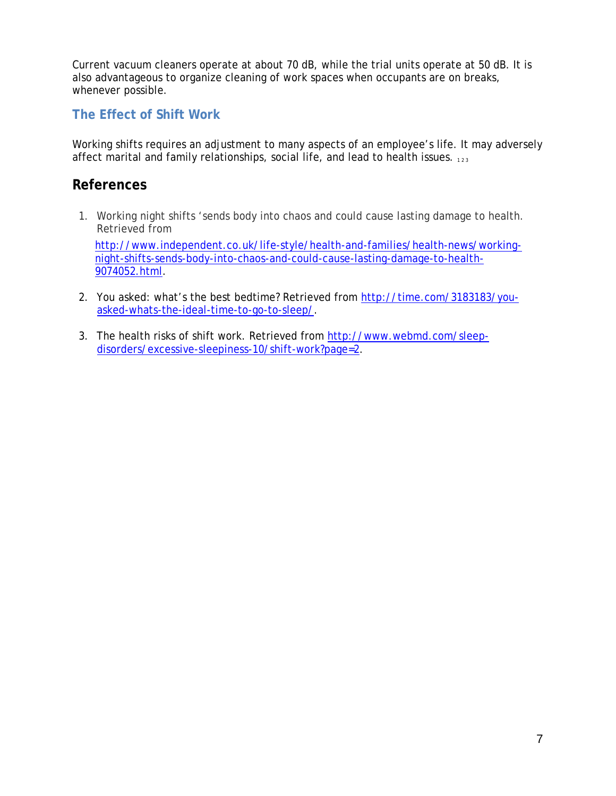Current vacuum cleaners operate at about 70 dB, while the trial units operate at 50 dB. It is also advantageous to organize cleaning of work spaces when occupants are on breaks, whenever possible.

#### <span id="page-7-0"></span>**The Effect of Shift Work**

Working shifts requires an adjustment to many aspects of an employee's life. It may adversely affect marital and family relationships, social life, and lead to health issues.  $123$ 

#### <span id="page-7-1"></span>**References**

1. Working night shifts 'sends body into chaos and could cause lasting damage to health. Retrieved from

[http://www.independent.co.uk/life-style/health-and-families/health-news/working](http://www.independent.co.uk/life-style/health-and-families/health-news/working-night-shifts-sends-body-into-chaos-and-could-cause-lasting-damage-to-health-9074052.html)[night-shifts-sends-body-into-chaos-and-could-cause-lasting-damage-to-health-](http://www.independent.co.uk/life-style/health-and-families/health-news/working-night-shifts-sends-body-into-chaos-and-could-cause-lasting-damage-to-health-9074052.html)[9074052.html.](http://www.independent.co.uk/life-style/health-and-families/health-news/working-night-shifts-sends-body-into-chaos-and-could-cause-lasting-damage-to-health-9074052.html)

- 2. You asked: what's the best bedtime? Retrieved from [http://time.com/3183183/you](http://time.com/3183183/you-asked-whats-the-ideal-time-to-go-to-sleep/)[asked-whats-the-ideal-time-to-go-to-sleep/.](http://time.com/3183183/you-asked-whats-the-ideal-time-to-go-to-sleep/)
- 3. The health risks of shift work. Retrieved from [http://www.webmd.com/sleep](http://www.webmd.com/sleep-disorders/excessive-sleepiness-10/shift-work?page=2)[disorders/excessive-sleepiness-10/shift-work?page=2.](http://www.webmd.com/sleep-disorders/excessive-sleepiness-10/shift-work?page=2)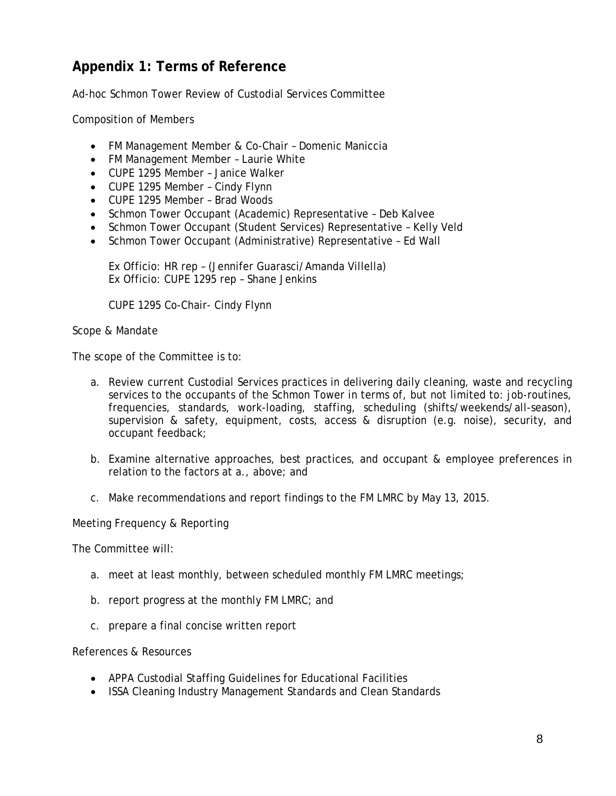## <span id="page-8-0"></span>**Appendix 1: Terms of Reference**

Ad-hoc Schmon Tower Review of Custodial Services Committee

Composition of Members

- FM Management Member & Co-Chair Domenic Maniccia
- FM Management Member Laurie White
- CUPE 1295 Member Janice Walker
- CUPE 1295 Member Cindy Flynn
- CUPE 1295 Member Brad Woods
- Schmon Tower Occupant (Academic) Representative Deb Kalvee
- Schmon Tower Occupant (Student Services) Representative Kelly Veld
- Schmon Tower Occupant (Administrative) Representative Ed Wall

Ex Officio: HR rep – (Jennifer Guarasci/Amanda Villella) Ex Officio: CUPE 1295 rep – Shane Jenkins

CUPE 1295 Co-Chair- Cindy Flynn

Scope & Mandate

The scope of the Committee is to:

- a. Review current Custodial Services practices in delivering daily cleaning, waste and recycling services to the occupants of the Schmon Tower in terms of, but not limited to: job-routines, frequencies, standards, work-loading, staffing, scheduling (shifts/weekends/all-season), supervision & safety, equipment, costs, access & disruption (e.g. noise), security, and occupant feedback;
- b. Examine alternative approaches, best practices, and occupant & employee preferences in relation to the factors at a., above; and
- c. Make recommendations and report findings to the FM LMRC by May 13, 2015.

Meeting Frequency & Reporting

The Committee will:

- a. meet at least monthly, between scheduled monthly FM LMRC meetings;
- b. report progress at the monthly FM LMRC; and
- c. prepare a final concise written report

References & Resources

- APPA Custodial Staffing Guidelines for Educational Facilities
- ISSA Cleaning Industry Management Standards and Clean Standards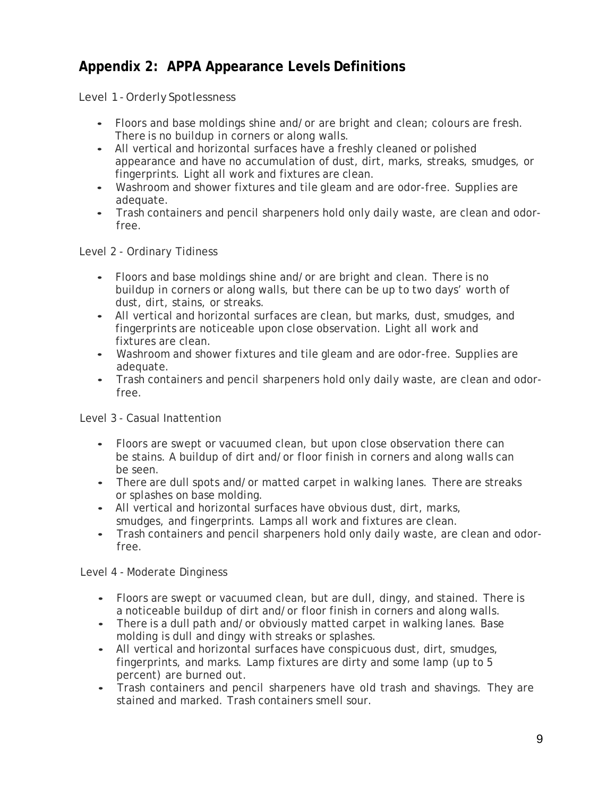## <span id="page-9-0"></span>**Appendix 2: APPA Appearance Levels Definitions**

Level 1 -Orderly Spotlessness

- Floors and base moldings shine and/or are bright and clean; colours are fresh. There is no buildup in corners or along walls.
- All vertical and horizontal surfaces have a freshly cleaned or polished appearance and have no accumulation of dust, dirt, marks, streaks, smudges, or fingerprints. Light all work and fixtures are clean.
- Washroom and shower fixtures and tile gleam and are odor-free. Supplies are adequate.
- Trash containers and pencil sharpeners hold only daily waste, are clean and odorfree.

Level 2 - Ordinary Tidiness

- Floors and base moldings shine and/or are bright and clean. There is no buildup in corners or along walls, but there can be up to two days' worth of dust, dirt, stains, or streaks.
- All vertical and horizontal surfaces are clean, but marks, dust, smudges, and fingerprints are noticeable upon close observation. Light all work and fixtures are clean.
- Washroom and shower fixtures and tile gleam and are odor-free. Supplies are adequate.
- Trash containers and pencil sharpeners hold only daily waste, are clean and odorfree.

Level 3 - Casual Inattention

- Floors are swept or vacuumed clean, but upon close observation there can be stains. A buildup of dirt and/or floor finish in corners and along walls can be seen.
- There are dull spots and/or matted carpet in walking lanes. There are streaks or splashes on base molding.
- All vertical and horizontal surfaces have obvious dust, dirt, marks, smudges, and fingerprints. Lamps all work and fixtures are clean.
- Trash containers and pencil sharpeners hold only daily waste, are clean and odorfree.

Level 4 - Moderate Dinginess

- Floors are swept or vacuumed clean, but are dull, dingy, and stained. There is a noticeable buildup of dirt and/or floor finish in corners and along walls.
- There is a dull path and/or obviously matted carpet in walking lanes. Base molding is dull and dingy with streaks or splashes.
- All vertical and horizontal surfaces have conspicuous dust, dirt, smudges, fingerprints, and marks. Lamp fixtures are dirty and some lamp (up to 5 percent) are burned out.
- Trash containers and pencil sharpeners have old trash and shavings. They are stained and marked. Trash containers smell sour.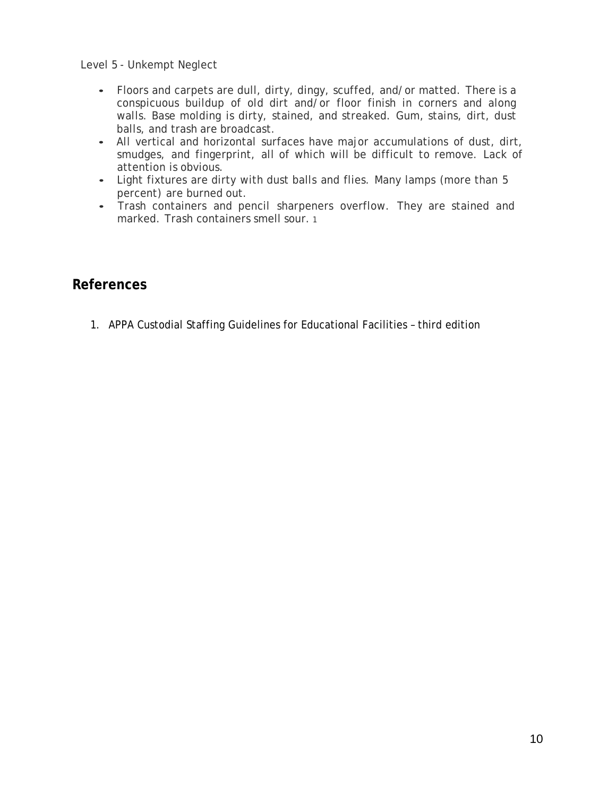Level 5 - Unkempt Neglect

- Floors and carpets are dull, dirty, dingy, scuffed, and/or matted. There is a conspicuous buildup of old dirt and/or floor finish in corners and along walls. Base molding is dirty, stained, and streaked. Gum, stains, dirt, dust balls, and trash are broadcast.
- All vertical and horizontal surfaces have major accumulations of dust, dirt, smudges, and fingerprint, all of which will be difficult to remove. Lack of attention is obvious.
- Light fixtures are dirty with dust balls and flies. Many lamps (more than 5 percent) are burned out.
- Trash containers and pencil sharpeners overflow. They are stained and marked. Trash containers smell sour. 1

#### **References**

1. APPA Custodial Staffing Guidelines for Educational Facilities – third edition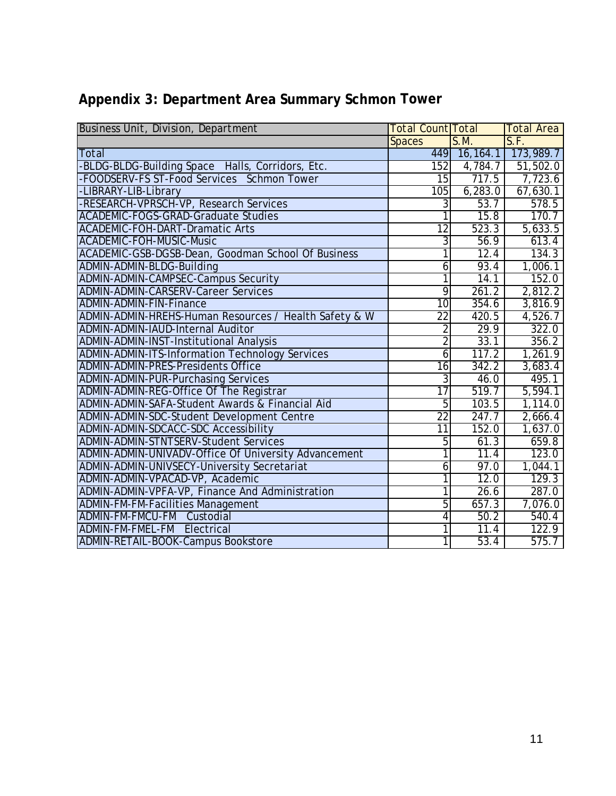| <b>Business Unit, Division, Department</b>             | <b>Total Count Total</b> |                   | <b>Total Area</b>      |
|--------------------------------------------------------|--------------------------|-------------------|------------------------|
|                                                        | <b>Spaces</b>            | S.M.              | S.F.                   |
| <b>Total</b>                                           |                          |                   | 449 16,164.1 173,989.7 |
| -BLDG-BLDG-Building Space Halls, Corridors, Etc.       | 152                      | 4,784.7           | 51,502.0               |
| -FOODSERV-FS ST-Food Services Schmon Tower             | 15                       | 717.5             | 7,723.6                |
| -LIBRARY-LIB-Library                                   | 105                      | 6,283.0           | 67,630.1               |
| -RESEARCH-VPRSCH-VP, Research Services                 | $\overline{3}$           | 53.7              | 578.5                  |
| <b>ACADEMIC-FOGS-GRAD-Graduate Studies</b>             | ī                        | 15.8              | 170.7                  |
| <b>ACADEMIC-FOH-DART-Dramatic Arts</b>                 | $\overline{12}$          | 523.3             | 5,633.5                |
| ACADEMIC-FOH-MUSIC-Music                               | $\overline{3}$           | 56.9              | 613.4                  |
| ACADEMIC-GSB-DGSB-Dean, Goodman School Of Business     | 1                        | 12.4              | 134.3                  |
| ADMIN-ADMIN-BLDG-Building                              | $\overline{6}$           | 93.4              | 1,006.1                |
| ADMIN-ADMIN-CAMPSEC-Campus Security                    | 1                        | 14.1              | 152.0                  |
| <b>ADMIN-ADMIN-CARSERV-Career Services</b>             | $\overline{9}$           | 261.2             | 2,812.2                |
| ADMIN-ADMIN-FIN-Finance                                | $\overline{10}$          | 354.6             | 3,816.9                |
| ADMIN-ADMIN-HREHS-Human Resources / Health Safety & W  | 22                       | 420.5             | 4,526.7                |
| ADMIN-ADMIN-IAUD-Internal Auditor                      | $\overline{2}$           | 29.9              | 322.0                  |
| <b>ADMIN-ADMIN-INST-Institutional Analysis</b>         | $\overline{2}$           | 33.1              | 356.2                  |
| <b>ADMIN-ADMIN-ITS-Information Technology Services</b> | $\overline{6}$           | 117.2             | 1,261.9                |
| <b>ADMIN-ADMIN-PRES-Presidents Office</b>              | 16                       | 342.2             | 3,683.4                |
| ADMIN-ADMIN-PUR-Purchasing Services                    | $\overline{3}$           | 46.0              | 495.1                  |
| ADMIN-ADMIN-REG-Office Of The Registrar                | $\overline{17}$          | 519.7             | 5,594.1                |
| ADMIN-ADMIN-SAFA-Student Awards & Financial Aid        | $\overline{5}$           | 103.5             | 1,114.0                |
| ADMIN-ADMIN-SDC-Student Development Centre             | $\overline{22}$          | 247.7             | 2,666.4                |
| ADMIN-ADMIN-SDCACC-SDC Accessibility                   | $\overline{11}$          | 152.0             | 1,637.0                |
| <b>ADMIN-ADMIN-STNTSERV-Student Services</b>           | 5                        | 61.3              | 659.8                  |
| ADMIN-ADMIN-UNIVADV-Office Of University Advancement   | $\overline{1}$           | $\overline{11.4}$ | 123.0                  |
| ADMIN-ADMIN-UNIVSECY-University Secretariat            | $\overline{6}$           | 97.0              | 1,044.1                |
| ADMIN-ADMIN-VPACAD-VP, Academic                        | $\overline{1}$           | 12.0              | 129.3                  |
| ADMIN-ADMIN-VPFA-VP, Finance And Administration        | 1                        | 26.6              | 287.0                  |
| <b>ADMIN-FM-FM-Facilities Management</b>               | $\overline{5}$           | 657.3             | 7,076.0                |
| <b>ADMIN-FM-FMCU-FM</b><br>Custodial                   | 4                        | 50.2              | 540.4                  |
| ADMIN-FM-FMEL-FM Electrical                            | 1                        | 11.4              | 122.9                  |
| <b>ADMIN-RETAIL-BOOK-Campus Bookstore</b>              | $\overline{1}$           | 53.4              | 575.7                  |

## <span id="page-11-0"></span>**Appendix 3: Department Area Summary Schmon Tower**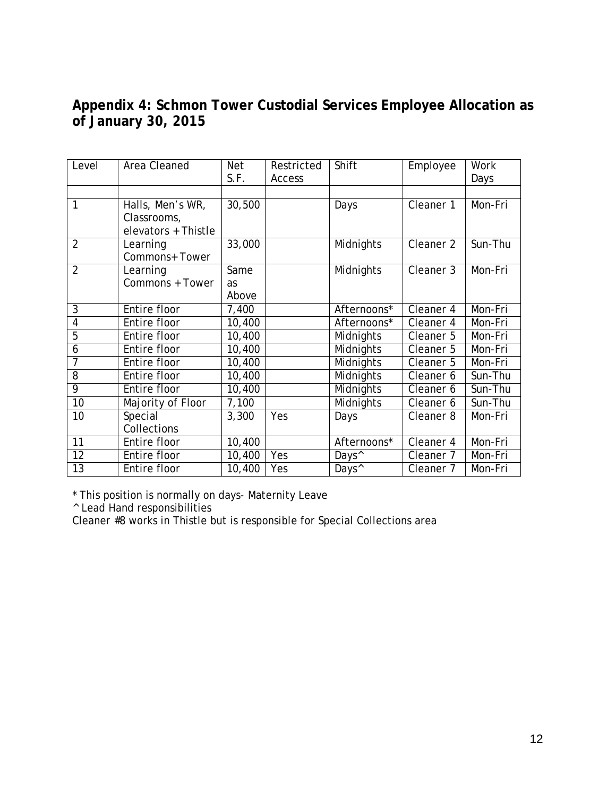## <span id="page-12-0"></span>**Appendix 4: Schmon Tower Custodial Services Employee Allocation as of January 30, 2015**

| Level           | Area Cleaned        | <b>Net</b> | Restricted | Shift             | Employee             | Work    |
|-----------------|---------------------|------------|------------|-------------------|----------------------|---------|
|                 |                     | S.F.       | Access     |                   |                      | Days    |
|                 |                     |            |            |                   |                      |         |
| 1               | Halls, Men's WR,    | 30,500     |            | Days              | Cleaner 1            | Mon-Fri |
|                 | Classrooms,         |            |            |                   |                      |         |
|                 | elevators + Thistle |            |            |                   |                      |         |
| $\overline{2}$  | Learning            | 33,000     |            | Midnights         | Cleaner <sub>2</sub> | Sun-Thu |
|                 | Commons+ Tower      |            |            |                   |                      |         |
| $\overline{2}$  | Learning            | Same       |            | Midnights         | Cleaner 3            | Mon-Fri |
|                 | Commons + Tower     | <b>as</b>  |            |                   |                      |         |
|                 |                     | Above      |            |                   |                      |         |
| 3               | Entire floor        | 7,400      |            | Afternoons*       | Cleaner 4            | Mon-Fri |
| $\overline{4}$  | Entire floor        | 10,400     |            | Afternoons*       | Cleaner 4            | Mon-Fri |
| $\overline{5}$  | Entire floor        | 10,400     |            | Midnights         | Cleaner 5            | Mon-Fri |
| 6               | Entire floor        | 10,400     |            | Midnights         | Cleaner 5            | Mon-Fri |
| 7               | Entire floor        | 10,400     |            | Midnights         | Cleaner 5            | Mon-Fri |
| 8               | Entire floor        | 10,400     |            | Midnights         | Cleaner 6            | Sun-Thu |
| $\overline{9}$  | Entire floor        | 10,400     |            | Midnights         | Cleaner 6            | Sun-Thu |
| 10              | Majority of Floor   | 7,100      |            | Midnights         | Cleaner 6            | Sun-Thu |
| 10              | Special             | 3,300      | Yes        | Days              | Cleaner <sub>8</sub> | Mon-Fri |
|                 | Collections         |            |            |                   |                      |         |
| $\overline{11}$ | Entire floor        | 10,400     |            | Afternoons*       | Cleaner 4            | Mon-Fri |
| 12              | Entire floor        | 10,400     | Yes        | Days <sup>^</sup> | Cleaner 7            | Mon-Fri |
| $\overline{13}$ | Entire floor        | 10,400     | Yes        | Days <sup>^</sup> | Cleaner 7            | Mon-Fri |

\* This position is normally on days- Maternity Leave

^ Lead Hand responsibilities

Cleaner #8 works in Thistle but is responsible for Special Collections area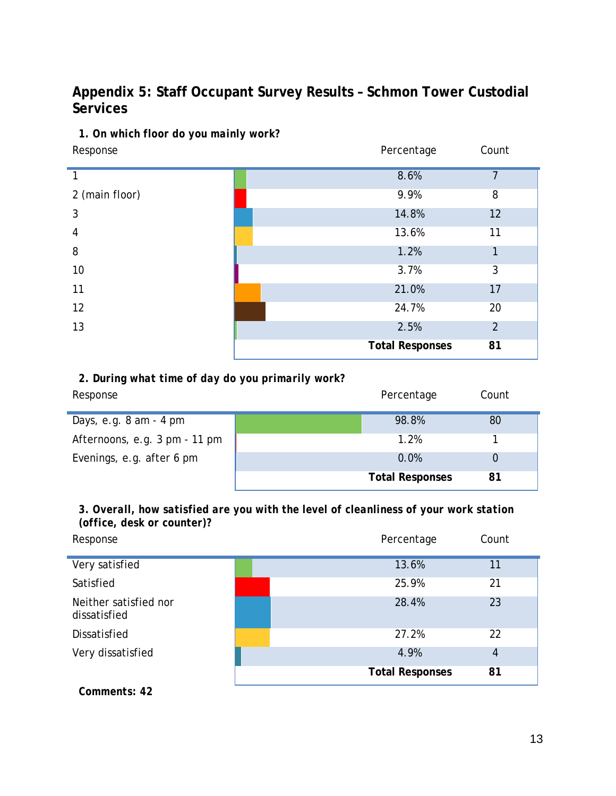## <span id="page-13-0"></span>**Appendix 5: Staff Occupant Survey Results – Schmon Tower Custodial Services**

#### *1. On which floor do you mainly work?*

| Response       | Percentage             | Count          |
|----------------|------------------------|----------------|
|                | 8.6%                   | $\overline{7}$ |
| 2 (main floor) | 9.9%                   | 8              |
| 3              | 14.8%                  | 12             |
| 4              | 13.6%                  | 11             |
| 8              | 1.2%                   | 1              |
| 10             | 3.7%                   | 3              |
| 11             | 21.0%                  | 17             |
| 12             | 24.7%                  | 20             |
| 13             | 2.5%                   | $\overline{2}$ |
|                | <b>Total Responses</b> | 81             |

### *2. During what time of day do you primarily work?*

| Response                                 | Percentage             | Count |  |
|------------------------------------------|------------------------|-------|--|
| Days, e.g. $8 \text{ am} - 4 \text{ pm}$ | 98.8%                  | 80    |  |
| Afternoons, e.g. 3 pm - 11 pm            | 1.2%                   |       |  |
| Evenings, e.g. after 6 pm                | 0.0%                   |       |  |
|                                          | <b>Total Responses</b> | 81    |  |

*3. Overall, how satisfied are you with the level of cleanliness of your work station (office, desk or counter)?*

| Response                              | Percentage             | Count          |
|---------------------------------------|------------------------|----------------|
| Very satisfied                        | 13.6%                  | 11             |
| Satisfied                             | 25.9%                  | 21             |
| Neither satisfied nor<br>dissatisfied | 28.4%                  | 23             |
| <b>Dissatisfied</b>                   | 27.2%                  | 22             |
| Very dissatisfied                     | 4.9%                   | $\overline{4}$ |
|                                       | <b>Total Responses</b> | 81             |

*Comments: 42*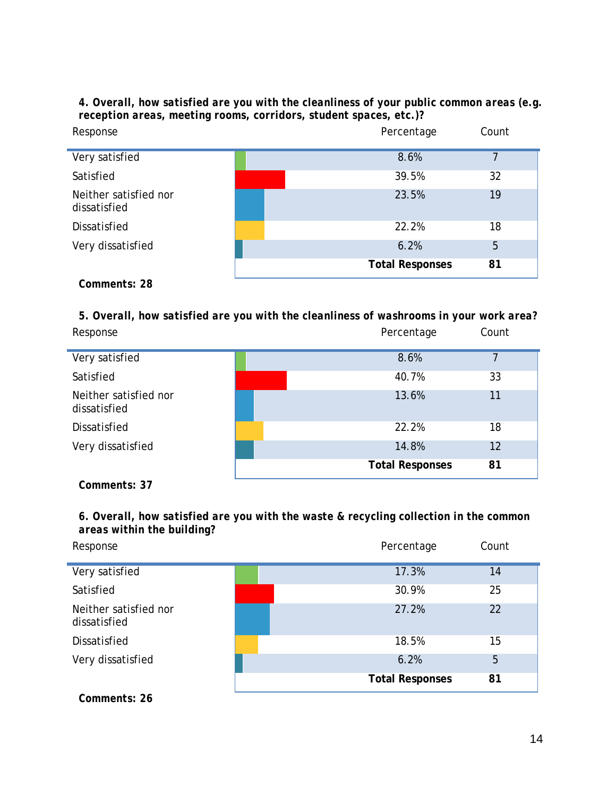*4. Overall, how satisfied are you with the cleanliness of your public common areas (e.g. reception areas, meeting rooms, corridors, student spaces, etc.)?*

| Response                              | Percentage             | Count |
|---------------------------------------|------------------------|-------|
| Very satisfied                        | 8.6%                   | 7     |
| Satisfied                             | 39.5%                  | 32    |
| Neither satisfied nor<br>dissatisfied | 23.5%                  | 19    |
| Dissatisfied                          | 22.2%                  | 18    |
| Very dissatisfied                     | 6.2%                   | 5     |
|                                       | <b>Total Responses</b> | 81    |

*Comments: 28*

*5. Overall, how satisfied are you with the cleanliness of washrooms in your work area?* Response **Count Response** Count

| Very satisfied                        | 8.6%                   | ᄀ  |
|---------------------------------------|------------------------|----|
| Satisfied                             | 40.7%                  | 33 |
| Neither satisfied nor<br>dissatisfied | 13.6%                  | 11 |
| Dissatisfied                          | 22.2%                  | 18 |
| Very dissatisfied                     | 14.8%                  | 12 |
|                                       | <b>Total Responses</b> | 81 |

*Comments: 37*

*6. Overall, how satisfied are you with the waste & recycling collection in the common areas within the building?*

| Response                              | Percentage             | Count |
|---------------------------------------|------------------------|-------|
| Very satisfied                        | 17.3%                  | 14    |
| Satisfied                             | 30.9%                  | 25    |
| Neither satisfied nor<br>dissatisfied | 27.2%                  | 22    |
| Dissatisfied                          | 18.5%                  | 15    |
| Very dissatisfied                     | 6.2%                   | 5     |
|                                       | <b>Total Responses</b> | 81    |

*Comments: 26*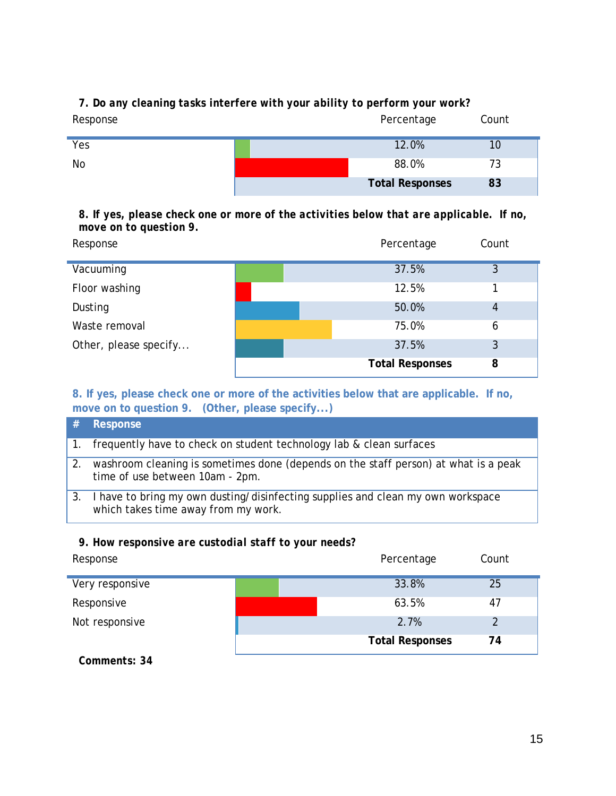| Response | Percentage             | Count |  |
|----------|------------------------|-------|--|
| Yes      | 12.0%                  | 10    |  |
| No       | 88.0%                  | 73    |  |
|          | <b>Total Responses</b> | 83    |  |

## *7. Do any cleaning tasks interfere with your ability to perform your work?*

*8. If yes, please check one or more of the activities below that are applicable. If no, move on to question 9.*

| Response              | Percentage             | Count |
|-----------------------|------------------------|-------|
| Vacuuming             | 37.5%                  | 3     |
| Floor washing         | 12.5%                  |       |
| Dusting               | 50.0%                  | 4     |
| Waste removal         | 75.0%                  | 6     |
| Other, please specify | 37.5%                  | 3     |
|                       | <b>Total Responses</b> | 8     |

**8. If yes, please check one or more of the activities below that are applicable. If no, move on to question 9. (Other, please specify...)**

|    | Response                                                                                                               |
|----|------------------------------------------------------------------------------------------------------------------------|
|    | frequently have to check on student technology lab & clean surfaces                                                    |
| 2. | washroom cleaning is sometimes done (depends on the staff person) at what is a peak<br>time of use between 10am - 2pm. |
|    | I have to bring my own dusting/disinfecting supplies and clean my own workspace<br>which takes time away from my work. |

#### *9. How responsive are custodial staff to your needs?*

| Response        |  | Percentage             | Count |
|-----------------|--|------------------------|-------|
| Very responsive |  | 33.8%                  | 25    |
| Responsive      |  | 63.5%                  | 47    |
| Not responsive  |  | 2.7%                   |       |
|                 |  | <b>Total Responses</b> | 74    |

*Comments: 34*